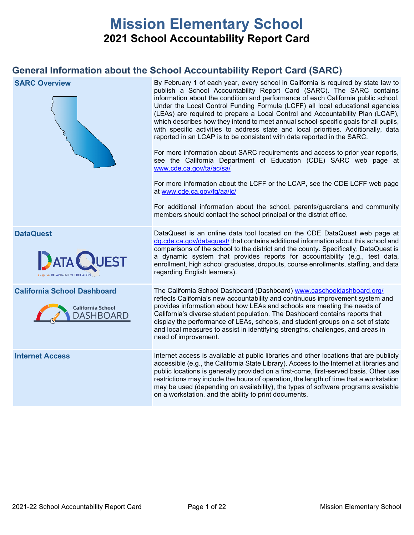# **Mission Elementary School 2021 School Accountability Report Card**

# **General Information about the School Accountability Report Card (SARC)**

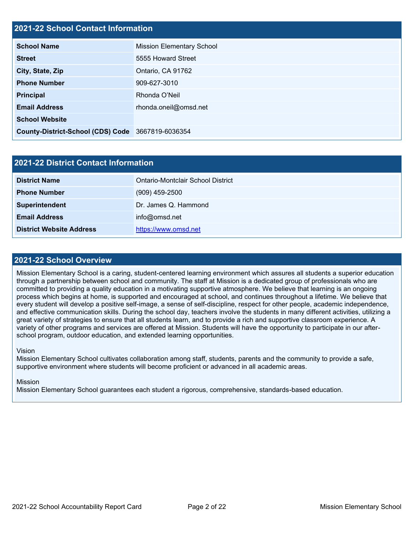# **2021-22 School Contact Information**

| AVAT AA OCHOOL OOHIGOL IIIIOHIIGHOIL              |                                  |  |  |  |
|---------------------------------------------------|----------------------------------|--|--|--|
| <b>School Name</b>                                | <b>Mission Elementary School</b> |  |  |  |
| <b>Street</b>                                     | 5555 Howard Street               |  |  |  |
| City, State, Zip                                  | Ontario, CA 91762                |  |  |  |
| <b>Phone Number</b>                               | 909-627-3010                     |  |  |  |
| <b>Principal</b>                                  | Rhonda O'Neil                    |  |  |  |
| <b>Email Address</b>                              | rhonda.oneil@omsd.net            |  |  |  |
| <b>School Website</b>                             |                                  |  |  |  |
| County-District-School (CDS) Code 3667819-6036354 |                                  |  |  |  |

| <b>2021-22 District Contact Information</b> |                                   |  |  |  |
|---------------------------------------------|-----------------------------------|--|--|--|
| <b>District Name</b>                        | Ontario-Montclair School District |  |  |  |
| <b>Phone Number</b>                         | $(909)$ 459-2500                  |  |  |  |
| Superintendent                              | Dr. James Q. Hammond              |  |  |  |
| <b>Email Address</b>                        | info@omsd.net                     |  |  |  |
| <b>District Website Address</b>             | https://www.omsd.net              |  |  |  |

### **2021-22 School Overview**

Mission Elementary School is a caring, student-centered learning environment which assures all students a superior education through a partnership between school and community. The staff at Mission is a dedicated group of professionals who are committed to providing a quality education in a motivating supportive atmosphere. We believe that learning is an ongoing process which begins at home, is supported and encouraged at school, and continues throughout a lifetime. We believe that every student will develop a positive self-image, a sense of self-discipline, respect for other people, academic independence, and effective communication skills. During the school day, teachers involve the students in many different activities, utilizing a great variety of strategies to ensure that all students learn, and to provide a rich and supportive classroom experience. A variety of other programs and services are offered at Mission. Students will have the opportunity to participate in our afterschool program, outdoor education, and extended learning opportunities.

### Vision

Mission Elementary School cultivates collaboration among staff, students, parents and the community to provide a safe, supportive environment where students will become proficient or advanced in all academic areas.

### Mission

Mission Elementary School guarantees each student a rigorous, comprehensive, standards-based education.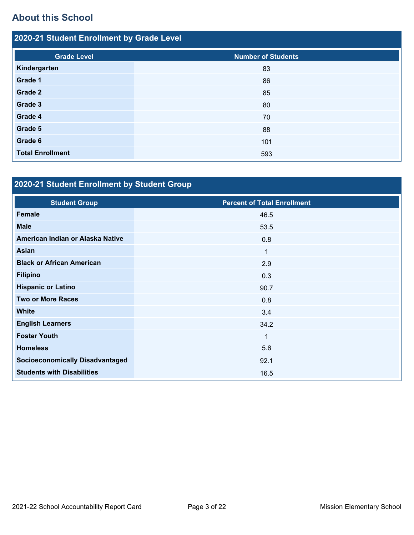# **About this School**

| 2020-21 Student Enrollment by Grade Level |                           |  |  |  |  |  |
|-------------------------------------------|---------------------------|--|--|--|--|--|
| <b>Grade Level</b>                        | <b>Number of Students</b> |  |  |  |  |  |
| Kindergarten                              | 83                        |  |  |  |  |  |
| Grade 1                                   | 86                        |  |  |  |  |  |
| Grade 2                                   | 85                        |  |  |  |  |  |
| Grade 3                                   | 80                        |  |  |  |  |  |
| Grade 4                                   | 70                        |  |  |  |  |  |
| Grade 5                                   | 88                        |  |  |  |  |  |
| Grade 6                                   | 101                       |  |  |  |  |  |
| <b>Total Enrollment</b>                   | 593                       |  |  |  |  |  |

# **2020-21 Student Enrollment by Student Group**

| <b>Student Group</b>                   | <b>Percent of Total Enrollment</b> |
|----------------------------------------|------------------------------------|
| <b>Female</b>                          | 46.5                               |
| <b>Male</b>                            | 53.5                               |
| American Indian or Alaska Native       | 0.8                                |
| <b>Asian</b>                           | $\mathbf{1}$                       |
| <b>Black or African American</b>       | 2.9                                |
| <b>Filipino</b>                        | 0.3                                |
| <b>Hispanic or Latino</b>              | 90.7                               |
| <b>Two or More Races</b>               | 0.8                                |
| <b>White</b>                           | 3.4                                |
| <b>English Learners</b>                | 34.2                               |
| <b>Foster Youth</b>                    | 1                                  |
| <b>Homeless</b>                        | 5.6                                |
| <b>Socioeconomically Disadvantaged</b> | 92.1                               |
| <b>Students with Disabilities</b>      | 16.5                               |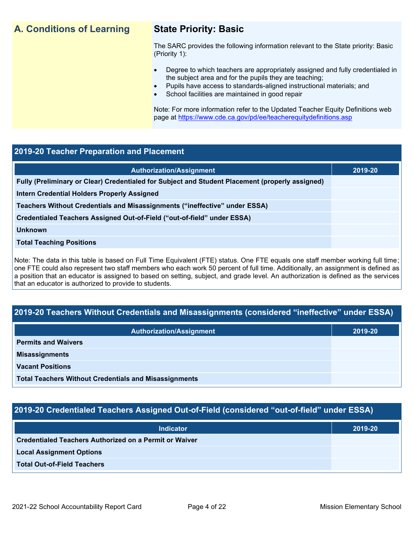# **A. Conditions of Learning State Priority: Basic**

The SARC provides the following information relevant to the State priority: Basic (Priority 1):

- Degree to which teachers are appropriately assigned and fully credentialed in the subject area and for the pupils they are teaching;
	- Pupils have access to standards-aligned instructional materials; and
- School facilities are maintained in good repair

Note: For more information refer to the Updated Teacher Equity Definitions web page at<https://www.cde.ca.gov/pd/ee/teacherequitydefinitions.asp>

### **2019-20 Teacher Preparation and Placement**

| <b>Authorization/Assignment</b>                                                                 | 2019-20 |
|-------------------------------------------------------------------------------------------------|---------|
| Fully (Preliminary or Clear) Credentialed for Subject and Student Placement (properly assigned) |         |
| Intern Credential Holders Properly Assigned                                                     |         |
| Teachers Without Credentials and Misassignments ("ineffective" under ESSA)                      |         |
| Credentialed Teachers Assigned Out-of-Field ("out-of-field" under ESSA)                         |         |
| <b>Unknown</b>                                                                                  |         |
| <b>Total Teaching Positions</b>                                                                 |         |
|                                                                                                 |         |

Note: The data in this table is based on Full Time Equivalent (FTE) status. One FTE equals one staff member working full time; one FTE could also represent two staff members who each work 50 percent of full time. Additionally, an assignment is defined as a position that an educator is assigned to based on setting, subject, and grade level. An authorization is defined as the services that an educator is authorized to provide to students.

# **2019-20 Teachers Without Credentials and Misassignments (considered "ineffective" under ESSA)**

| <b>Authorization/Assignment</b>                              | 2019-20 |  |
|--------------------------------------------------------------|---------|--|
| <b>Permits and Waivers</b>                                   |         |  |
| <b>Misassignments</b>                                        |         |  |
| <b>Vacant Positions</b>                                      |         |  |
| <b>Total Teachers Without Credentials and Misassignments</b> |         |  |

# **2019-20 Credentialed Teachers Assigned Out-of-Field (considered "out-of-field" under ESSA)**

| <b>Indicator</b>                                       | 2019-20 |
|--------------------------------------------------------|---------|
| Credentialed Teachers Authorized on a Permit or Waiver |         |
| <b>Local Assignment Options</b>                        |         |
| <b>Total Out-of-Field Teachers</b>                     |         |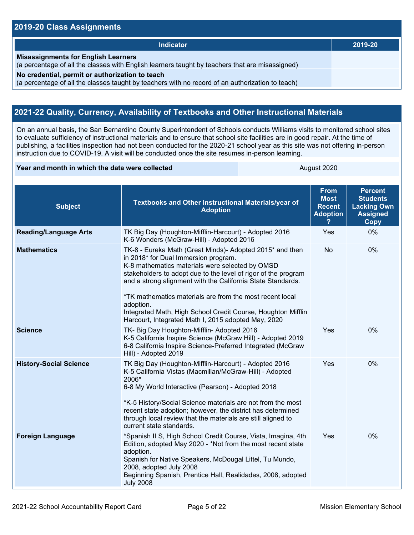### **2019-20 Class Assignments**

| <b>Indicator</b>                                                                                                                                    | 2019-20 |
|-----------------------------------------------------------------------------------------------------------------------------------------------------|---------|
| <b>Misassignments for English Learners</b><br>(a percentage of all the classes with English learners taught by teachers that are misassigned)       |         |
| No credential, permit or authorization to teach<br>(a percentage of all the classes taught by teachers with no record of an authorization to teach) |         |

# **2021-22 Quality, Currency, Availability of Textbooks and Other Instructional Materials**

On an annual basis, the San Bernardino County Superintendent of Schools conducts Williams visits to monitored school sites to evaluate sufficiency of instructional materials and to ensure that school site facilities are in good repair. At the time of publishing, a facilities inspection had not been conducted for the 2020-21 school year as this site was not offering in-person instruction due to COVID-19. A visit will be conducted once the site resumes in-person learning.

### **Year and month in which the data were collected August 2020** August 2020

| <b>Subject</b>                | <b>Textbooks and Other Instructional Materials/year of</b><br><b>Adoption</b>                                                                                                                                                                                                                                                                                                                                                                                                        | <b>From</b><br><b>Most</b><br><b>Recent</b><br><b>Adoption</b> | <b>Percent</b><br><b>Students</b><br><b>Lacking Own</b><br><b>Assigned</b><br>Copy |
|-------------------------------|--------------------------------------------------------------------------------------------------------------------------------------------------------------------------------------------------------------------------------------------------------------------------------------------------------------------------------------------------------------------------------------------------------------------------------------------------------------------------------------|----------------------------------------------------------------|------------------------------------------------------------------------------------|
| <b>Reading/Language Arts</b>  | TK Big Day (Houghton-Mifflin-Harcourt) - Adopted 2016<br>K-6 Wonders (McGraw-Hill) - Adopted 2016                                                                                                                                                                                                                                                                                                                                                                                    | Yes                                                            | 0%                                                                                 |
| <b>Mathematics</b>            | TK-8 - Eureka Math (Great Minds)- Adopted 2015* and then<br>in 2018* for Dual Immersion program.<br>K-8 mathematics materials were selected by OMSD<br>stakeholders to adopt due to the level of rigor of the program<br>and a strong alignment with the California State Standards.<br>*TK mathematics materials are from the most recent local<br>adoption.<br>Integrated Math, High School Credit Course, Houghton Mifflin<br>Harcourt, Integrated Math I, 2015 adopted May, 2020 | <b>No</b>                                                      | 0%                                                                                 |
| <b>Science</b>                | TK- Big Day Houghton-Mifflin- Adopted 2016<br>K-5 California Inspire Science (McGraw Hill) - Adopted 2019<br>6-8 California Inspire Science-Preferred Integrated (McGraw<br>Hill) - Adopted 2019                                                                                                                                                                                                                                                                                     | Yes                                                            | 0%                                                                                 |
| <b>History-Social Science</b> | TK Big Day (Houghton-Mifflin-Harcourt) - Adopted 2016<br>K-5 California Vistas (Macmillan/McGraw-Hill) - Adopted<br>2006*<br>6-8 My World Interactive (Pearson) - Adopted 2018<br>*K-5 History/Social Science materials are not from the most<br>recent state adoption; however, the district has determined<br>through local review that the materials are still aligned to<br>current state standards.                                                                             | Yes                                                            | 0%                                                                                 |
| <b>Foreign Language</b>       | *Spanish II S, High School Credit Course, Vista, Imagina, 4th<br>Edition, adopted May 2020 - *Not from the most recent state<br>adoption.<br>Spanish for Native Speakers, McDougal Littel, Tu Mundo,<br>2008, adopted July 2008<br>Beginning Spanish, Prentice Hall, Realidades, 2008, adopted<br><b>July 2008</b>                                                                                                                                                                   | Yes                                                            | 0%                                                                                 |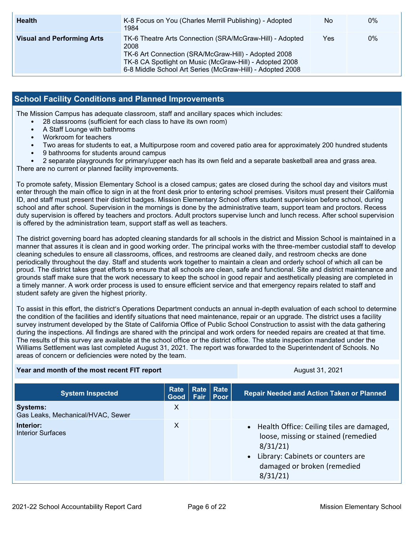| <b>Health</b>                     | K-8 Focus on You (Charles Merrill Publishing) - Adopted<br>1984                                                                                                                                                                                  | No. | $0\%$ |
|-----------------------------------|--------------------------------------------------------------------------------------------------------------------------------------------------------------------------------------------------------------------------------------------------|-----|-------|
| <b>Visual and Performing Arts</b> | TK-6 Theatre Arts Connection (SRA/McGraw-Hill) - Adopted<br>2008<br>TK-6 Art Connection (SRA/McGraw-Hill) - Adopted 2008<br>TK-8 CA Spotlight on Music (McGraw-Hill) - Adopted 2008<br>6-8 Middle School Art Series (McGraw-Hill) - Adopted 2008 | Yes | 0%    |

### **School Facility Conditions and Planned Improvements**

The Mission Campus has adequate classroom, staff and ancillary spaces which includes:

- 28 classrooms (sufficient for each class to have its own room)
- A Staff Lounge with bathrooms
- Workroom for teachers
- Two areas for students to eat, a Multipurpose room and covered patio area for approximately 200 hundred students
- 9 bathrooms for students around campus
- 2 separate playgrounds for primary/upper each has its own field and a separate basketball area and grass area.

There are no current or planned facility improvements.

To promote safety, Mission Elementary School is a closed campus; gates are closed during the school day and visitors must enter through the main office to sign in at the front desk prior to entering school premises. Visitors must present their California ID, and staff must present their district badges. Mission Elementary School offers student supervision before school, during school and after school. Supervision in the mornings is done by the administrative team, support team and proctors. Recess duty supervision is offered by teachers and proctors. Adult proctors supervise lunch and lunch recess. After school supervision is offered by the administration team, support staff as well as teachers.

The district governing board has adopted cleaning standards for all schools in the district and Mission School is maintained in a manner that assures it is clean and in good working order. The principal works with the three-member custodial staff to develop cleaning schedules to ensure all classrooms, offices, and restrooms are cleaned daily, and restroom checks are done periodically throughout the day. Staff and students work together to maintain a clean and orderly school of which all can be proud. The district takes great efforts to ensure that all schools are clean, safe and functional. Site and district maintenance and grounds staff make sure that the work necessary to keep the school in good repair and aesthetically pleasing are completed in a timely manner. A work order process is used to ensure efficient service and that emergency repairs related to staff and student safety are given the highest priority.

To assist in this effort, the district's Operations Department conducts an annual in-depth evaluation of each school to determine the condition of the facilities and identify situations that need maintenance, repair or an upgrade. The district uses a facility survey instrument developed by the State of California Office of Public School Construction to assist with the data gathering during the inspections. All findings are shared with the principal and work orders for needed repairs are created at that time. The results of this survey are available at the school office or the district office. The state inspection mandated under the Williams Settlement was last completed August 31, 2021. The report was forwarded to the Superintendent of Schools. No areas of concern or deficiencies were noted by the team.

| Year and month of the most recent FIT report         |                   |             | August 31, 2021 |                                                                                                                                                                                |
|------------------------------------------------------|-------------------|-------------|-----------------|--------------------------------------------------------------------------------------------------------------------------------------------------------------------------------|
| <b>System Inspected</b>                              | Rate<br>Good Fair | Rate   Rate | Poor            | <b>Repair Needed and Action Taken or Planned</b>                                                                                                                               |
| <b>Systems:</b><br>Gas Leaks, Mechanical/HVAC, Sewer | X                 |             |                 |                                                                                                                                                                                |
| Interior:<br><b>Interior Surfaces</b>                | X                 |             |                 | • Health Office: Ceiling tiles are damaged,<br>loose, missing or stained (remedied<br>8/31/21<br>• Library: Cabinets or counters are<br>damaged or broken (remedied<br>8/31/21 |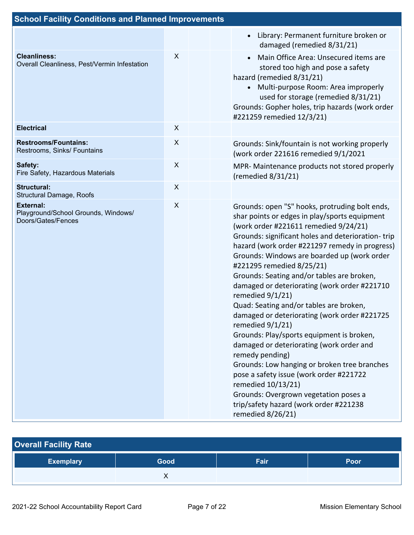| <b>School Facility Conditions and Planned Improvements</b>                    |                |  |                                                                                                                                                                                                                                                                                                                                                                                                                                                                                                                                                                                                                                                                                                                                                                                                                                                                                                   |  |
|-------------------------------------------------------------------------------|----------------|--|---------------------------------------------------------------------------------------------------------------------------------------------------------------------------------------------------------------------------------------------------------------------------------------------------------------------------------------------------------------------------------------------------------------------------------------------------------------------------------------------------------------------------------------------------------------------------------------------------------------------------------------------------------------------------------------------------------------------------------------------------------------------------------------------------------------------------------------------------------------------------------------------------|--|
|                                                                               |                |  | Library: Permanent furniture broken or<br>damaged (remedied 8/31/21)                                                                                                                                                                                                                                                                                                                                                                                                                                                                                                                                                                                                                                                                                                                                                                                                                              |  |
| <b>Cleanliness:</b><br>Overall Cleanliness, Pest/Vermin Infestation           | X              |  | Main Office Area: Unsecured items are<br>$\bullet$<br>stored too high and pose a safety<br>hazard (remedied 8/31/21)<br>Multi-purpose Room: Area improperly<br>used for storage (remedied 8/31/21)<br>Grounds: Gopher holes, trip hazards (work order<br>#221259 remedied 12/3/21)                                                                                                                                                                                                                                                                                                                                                                                                                                                                                                                                                                                                                |  |
| <b>Electrical</b>                                                             | X              |  |                                                                                                                                                                                                                                                                                                                                                                                                                                                                                                                                                                                                                                                                                                                                                                                                                                                                                                   |  |
| <b>Restrooms/Fountains:</b><br>Restrooms, Sinks/ Fountains                    | X              |  | Grounds: Sink/fountain is not working properly<br>(work order 221616 remedied 9/1/2021                                                                                                                                                                                                                                                                                                                                                                                                                                                                                                                                                                                                                                                                                                                                                                                                            |  |
| Safety:<br>Fire Safety, Hazardous Materials                                   | $\pmb{\times}$ |  | MPR- Maintenance products not stored properly<br>(remedied $8/31/21$ )                                                                                                                                                                                                                                                                                                                                                                                                                                                                                                                                                                                                                                                                                                                                                                                                                            |  |
| <b>Structural:</b><br>Structural Damage, Roofs                                | X              |  |                                                                                                                                                                                                                                                                                                                                                                                                                                                                                                                                                                                                                                                                                                                                                                                                                                                                                                   |  |
| <b>External:</b><br>Playground/School Grounds, Windows/<br>Doors/Gates/Fences | X              |  | Grounds: open "S" hooks, protruding bolt ends,<br>shar points or edges in play/sports equipment<br>(work order #221611 remedied 9/24/21)<br>Grounds: significant holes and deterioration-trip<br>hazard (work order #221297 remedy in progress)<br>Grounds: Windows are boarded up (work order<br>#221295 remedied 8/25/21)<br>Grounds: Seating and/or tables are broken,<br>damaged or deteriorating (work order #221710<br>remedied 9/1/21)<br>Quad: Seating and/or tables are broken,<br>damaged or deteriorating (work order #221725<br>remedied 9/1/21)<br>Grounds: Play/sports equipment is broken,<br>damaged or deteriorating (work order and<br>remedy pending)<br>Grounds: Low hanging or broken tree branches<br>pose a safety issue (work order #221722<br>remedied 10/13/21)<br>Grounds: Overgrown vegetation poses a<br>trip/safety hazard (work order #221238<br>remedied 8/26/21) |  |

| <b>Overall Facility Rate</b> |      |      |      |  |  |  |  |
|------------------------------|------|------|------|--|--|--|--|
| <b>Exemplary</b>             | Good | Fair | Poor |  |  |  |  |
|                              |      |      |      |  |  |  |  |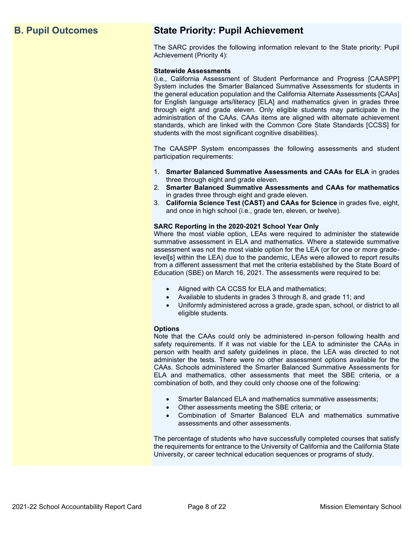# **B. Pupil Outcomes State Priority: Pupil Achievement**

The SARC provides the following information relevant to the State priority: Pupil Achievement (Priority 4):

### **Statewide Assessments**

(i.e., California Assessment of Student Performance and Progress [CAASPP] System includes the Smarter Balanced Summative Assessments for students in the general education population and the California Alternate Assessments [CAAs] for English language arts/literacy [ELA] and mathematics given in grades three through eight and grade eleven. Only eligible students may participate in the administration of the CAAs. CAAs items are aligned with alternate achievement standards, which are linked with the Common Core State Standards [CCSS] for students with the most significant cognitive disabilities).

The CAASPP System encompasses the following assessments and student participation requirements:

- 1. **Smarter Balanced Summative Assessments and CAAs for ELA** in grades three through eight and grade eleven.
- 2. **Smarter Balanced Summative Assessments and CAAs for mathematics** in grades three through eight and grade eleven.
- 3. **California Science Test (CAST) and CAAs for Science** in grades five, eight, and once in high school (i.e., grade ten, eleven, or twelve).

### **SARC Reporting in the 2020-2021 School Year Only**

Where the most viable option, LEAs were required to administer the statewide summative assessment in ELA and mathematics. Where a statewide summative assessment was not the most viable option for the LEA (or for one or more gradelevel[s] within the LEA) due to the pandemic, LEAs were allowed to report results from a different assessment that met the criteria established by the State Board of Education (SBE) on March 16, 2021. The assessments were required to be:

- Aligned with CA CCSS for ELA and mathematics;
- Available to students in grades 3 through 8, and grade 11; and
- Uniformly administered across a grade, grade span, school, or district to all eligible students.

### **Options**

Note that the CAAs could only be administered in-person following health and safety requirements. If it was not viable for the LEA to administer the CAAs in person with health and safety guidelines in place, the LEA was directed to not administer the tests. There were no other assessment options available for the CAAs. Schools administered the Smarter Balanced Summative Assessments for ELA and mathematics, other assessments that meet the SBE criteria, or a combination of both, and they could only choose one of the following:

- Smarter Balanced ELA and mathematics summative assessments;
- Other assessments meeting the SBE criteria; or
- Combination of Smarter Balanced ELA and mathematics summative assessments and other assessments.

The percentage of students who have successfully completed courses that satisfy the requirements for entrance to the University of California and the California State University, or career technical education sequences or programs of study.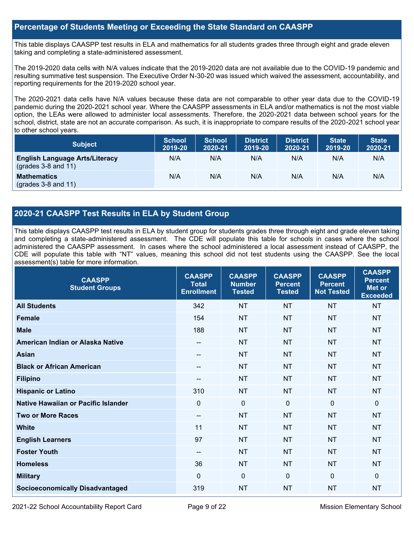### **Percentage of Students Meeting or Exceeding the State Standard on CAASPP**

This table displays CAASPP test results in ELA and mathematics for all students grades three through eight and grade eleven taking and completing a state-administered assessment.

The 2019-2020 data cells with N/A values indicate that the 2019-2020 data are not available due to the COVID-19 pandemic and resulting summative test suspension. The Executive Order N-30-20 was issued which waived the assessment, accountability, and reporting requirements for the 2019-2020 school year.

The 2020-2021 data cells have N/A values because these data are not comparable to other year data due to the COVID-19 pandemic during the 2020-2021 school year. Where the CAASPP assessments in ELA and/or mathematics is not the most viable option, the LEAs were allowed to administer local assessments. Therefore, the 2020-2021 data between school years for the school, district, state are not an accurate comparison. As such, it is inappropriate to compare results of the 2020-2021 school year to other school years.

| <b>Subject</b>                                                       | <b>School</b><br>2019-20 | <b>School</b><br>2020-21 | <b>District</b><br>2019-20 | <b>District</b><br>2020-21 | <b>State</b><br>2019-20 | <b>State</b><br>2020-21 |
|----------------------------------------------------------------------|--------------------------|--------------------------|----------------------------|----------------------------|-------------------------|-------------------------|
| <b>English Language Arts/Literacy</b><br>$\left($ grades 3-8 and 11) | N/A                      | N/A                      | N/A                        | N/A                        | N/A                     | N/A                     |
| <b>Mathematics</b><br>$(grades 3-8 and 11)$                          | N/A                      | N/A                      | N/A                        | N/A                        | N/A                     | N/A                     |

## **2020-21 CAASPP Test Results in ELA by Student Group**

This table displays CAASPP test results in ELA by student group for students grades three through eight and grade eleven taking and completing a state-administered assessment. The CDE will populate this table for schools in cases where the school administered the CAASPP assessment. In cases where the school administered a local assessment instead of CAASPP, the CDE will populate this table with "NT" values, meaning this school did not test students using the CAASPP. See the local assessment(s) table for more information.

| <b>CAASPP</b><br><b>Student Groups</b> | <b>CAASPP</b><br><b>Total</b><br><b>Enrollment</b> | <b>CAASPP</b><br><b>Number</b><br><b>Tested</b> | <b>CAASPP</b><br><b>Percent</b><br><b>Tested</b> | <b>CAASPP</b><br><b>Percent</b><br><b>Not Tested</b> | <b>CAASPP</b><br><b>Percent</b><br>Met or<br><b>Exceeded</b> |
|----------------------------------------|----------------------------------------------------|-------------------------------------------------|--------------------------------------------------|------------------------------------------------------|--------------------------------------------------------------|
| <b>All Students</b>                    | 342                                                | <b>NT</b>                                       | <b>NT</b>                                        | <b>NT</b>                                            | <b>NT</b>                                                    |
| <b>Female</b>                          | 154                                                | <b>NT</b>                                       | <b>NT</b>                                        | <b>NT</b>                                            | <b>NT</b>                                                    |
| <b>Male</b>                            | 188                                                | <b>NT</b>                                       | <b>NT</b>                                        | <b>NT</b>                                            | <b>NT</b>                                                    |
| American Indian or Alaska Native       | $- -$                                              | <b>NT</b>                                       | <b>NT</b>                                        | <b>NT</b>                                            | <b>NT</b>                                                    |
| <b>Asian</b>                           | --                                                 | <b>NT</b>                                       | <b>NT</b>                                        | <b>NT</b>                                            | <b>NT</b>                                                    |
| <b>Black or African American</b>       | $- -$                                              | <b>NT</b>                                       | <b>NT</b>                                        | <b>NT</b>                                            | <b>NT</b>                                                    |
| <b>Filipino</b>                        | $- -$                                              | <b>NT</b>                                       | <b>NT</b>                                        | <b>NT</b>                                            | <b>NT</b>                                                    |
| <b>Hispanic or Latino</b>              | 310                                                | <b>NT</b>                                       | <b>NT</b>                                        | <b>NT</b>                                            | <b>NT</b>                                                    |
| Native Hawaiian or Pacific Islander    | $\mathbf 0$                                        | $\mathbf 0$                                     | $\mathbf 0$                                      | $\mathbf 0$                                          | 0                                                            |
| <b>Two or More Races</b>               | --                                                 | <b>NT</b>                                       | <b>NT</b>                                        | <b>NT</b>                                            | <b>NT</b>                                                    |
| <b>White</b>                           | 11                                                 | <b>NT</b>                                       | <b>NT</b>                                        | <b>NT</b>                                            | <b>NT</b>                                                    |
| <b>English Learners</b>                | 97                                                 | <b>NT</b>                                       | <b>NT</b>                                        | <b>NT</b>                                            | <b>NT</b>                                                    |
| <b>Foster Youth</b>                    | $\qquad \qquad -$                                  | <b>NT</b>                                       | <b>NT</b>                                        | <b>NT</b>                                            | <b>NT</b>                                                    |
| <b>Homeless</b>                        | 36                                                 | <b>NT</b>                                       | <b>NT</b>                                        | <b>NT</b>                                            | <b>NT</b>                                                    |
| <b>Military</b>                        | $\Omega$                                           | $\mathbf 0$                                     | $\mathbf 0$                                      | $\mathbf 0$                                          | 0                                                            |
| <b>Socioeconomically Disadvantaged</b> | 319                                                | <b>NT</b>                                       | <b>NT</b>                                        | <b>NT</b>                                            | <b>NT</b>                                                    |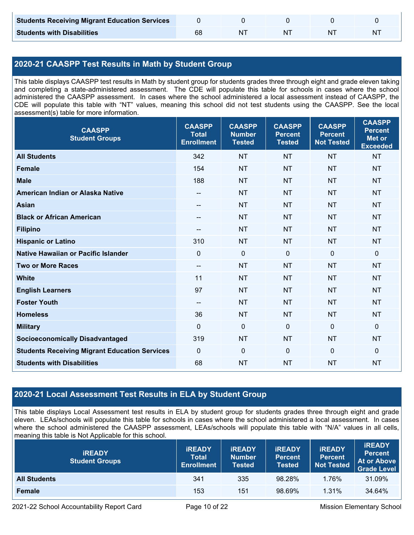| <b>Students Receiving Migrant Education Services</b> |  |    |   |
|------------------------------------------------------|--|----|---|
| <b>Students with Disabilities</b>                    |  | ΝI | N |

# **2020-21 CAASPP Test Results in Math by Student Group**

This table displays CAASPP test results in Math by student group for students grades three through eight and grade eleven taking and completing a state-administered assessment. The CDE will populate this table for schools in cases where the school administered the CAASPP assessment. In cases where the school administered a local assessment instead of CAASPP, the CDE will populate this table with "NT" values, meaning this school did not test students using the CAASPP. See the local assessment(s) table for more information.

| <b>CAASPP</b><br><b>Student Groups</b>               | <b>CAASPP</b><br><b>Total</b><br><b>Enrollment</b> | <b>CAASPP</b><br><b>Number</b><br><b>Tested</b> | <b>CAASPP</b><br><b>Percent</b><br><b>Tested</b> | <b>CAASPP</b><br><b>Percent</b><br><b>Not Tested</b> | <b>CAASPP</b><br><b>Percent</b><br><b>Met or</b><br><b>Exceeded</b> |
|------------------------------------------------------|----------------------------------------------------|-------------------------------------------------|--------------------------------------------------|------------------------------------------------------|---------------------------------------------------------------------|
| <b>All Students</b>                                  | 342                                                | <b>NT</b>                                       | <b>NT</b>                                        | <b>NT</b>                                            | <b>NT</b>                                                           |
| <b>Female</b>                                        | 154                                                | <b>NT</b>                                       | <b>NT</b>                                        | <b>NT</b>                                            | <b>NT</b>                                                           |
| <b>Male</b>                                          | 188                                                | <b>NT</b>                                       | <b>NT</b>                                        | <b>NT</b>                                            | <b>NT</b>                                                           |
| American Indian or Alaska Native                     | $\hspace{0.05cm}$ – $\hspace{0.05cm}$              | <b>NT</b>                                       | <b>NT</b>                                        | <b>NT</b>                                            | <b>NT</b>                                                           |
| <b>Asian</b>                                         | --                                                 | <b>NT</b>                                       | <b>NT</b>                                        | <b>NT</b>                                            | <b>NT</b>                                                           |
| <b>Black or African American</b>                     | $\hspace{0.05cm}$ – $\hspace{0.05cm}$              | <b>NT</b>                                       | <b>NT</b>                                        | <b>NT</b>                                            | <b>NT</b>                                                           |
| <b>Filipino</b>                                      |                                                    | <b>NT</b>                                       | <b>NT</b>                                        | <b>NT</b>                                            | <b>NT</b>                                                           |
| <b>Hispanic or Latino</b>                            | 310                                                | <b>NT</b>                                       | <b>NT</b>                                        | <b>NT</b>                                            | <b>NT</b>                                                           |
| <b>Native Hawaiian or Pacific Islander</b>           | $\mathbf 0$                                        | $\mathbf 0$                                     | $\mathbf 0$                                      | $\mathbf 0$                                          | $\mathbf 0$                                                         |
| <b>Two or More Races</b>                             | $\overline{\phantom{a}}$                           | <b>NT</b>                                       | <b>NT</b>                                        | <b>NT</b>                                            | <b>NT</b>                                                           |
| <b>White</b>                                         | 11                                                 | <b>NT</b>                                       | <b>NT</b>                                        | <b>NT</b>                                            | <b>NT</b>                                                           |
| <b>English Learners</b>                              | 97                                                 | <b>NT</b>                                       | <b>NT</b>                                        | <b>NT</b>                                            | <b>NT</b>                                                           |
| <b>Foster Youth</b>                                  | $\hspace{0.05cm}$ – $\hspace{0.05cm}$              | <b>NT</b>                                       | <b>NT</b>                                        | <b>NT</b>                                            | <b>NT</b>                                                           |
| <b>Homeless</b>                                      | 36                                                 | <b>NT</b>                                       | <b>NT</b>                                        | <b>NT</b>                                            | <b>NT</b>                                                           |
| <b>Military</b>                                      | $\mathbf{0}$                                       | $\mathbf 0$                                     | $\mathbf 0$                                      | $\mathbf 0$                                          | $\mathbf 0$                                                         |
| <b>Socioeconomically Disadvantaged</b>               | 319                                                | <b>NT</b>                                       | <b>NT</b>                                        | <b>NT</b>                                            | <b>NT</b>                                                           |
| <b>Students Receiving Migrant Education Services</b> | $\mathbf 0$                                        | $\mathbf 0$                                     | $\mathbf 0$                                      | $\mathbf 0$                                          | $\mathbf 0$                                                         |
| <b>Students with Disabilities</b>                    | 68                                                 | <b>NT</b>                                       | <b>NT</b>                                        | <b>NT</b>                                            | <b>NT</b>                                                           |

# **2020-21 Local Assessment Test Results in ELA by Student Group**

This table displays Local Assessment test results in ELA by student group for students grades three through eight and grade eleven. LEAs/schools will populate this table for schools in cases where the school administered a local assessment. In cases where the school administered the CAASPP assessment, LEAs/schools will populate this table with "N/A" values in all cells, meaning this table is Not Applicable for this school.

| <b>IREADY</b><br><b>Student Groups</b> | <b>IREADY</b><br><b>Total</b><br><b>Enrollment</b> | <b>IREADY</b><br><b>Number</b><br><b>Tested</b> | <b><i>IREADY</i></b><br><b>Percent</b><br><b>Tested</b> | <b>IREADY</b><br><b>Percent</b><br><b>Not Tested</b> | <b>IREADY</b><br><b>Percent</b><br><b>At or Above</b><br><b>Grade Level</b> |
|----------------------------------------|----------------------------------------------------|-------------------------------------------------|---------------------------------------------------------|------------------------------------------------------|-----------------------------------------------------------------------------|
| <b>All Students</b>                    | 341                                                | 335                                             | 98.28%                                                  | 1.76%                                                | 31.09%                                                                      |
| Female                                 | 153                                                | 151                                             | 98.69%                                                  | 1.31%                                                | 34.64%                                                                      |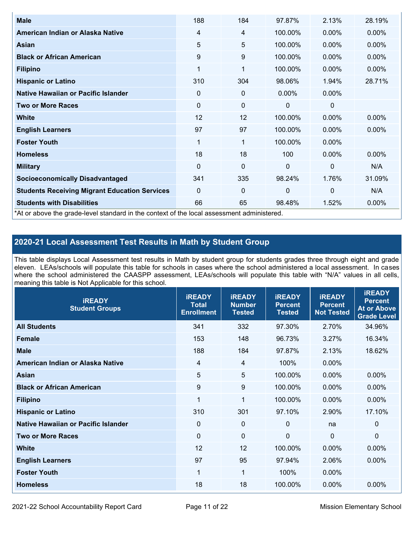| <b>Male</b>                                                                                | 188         | 184         | 97.87%       | 2.13%          | 28.19%   |
|--------------------------------------------------------------------------------------------|-------------|-------------|--------------|----------------|----------|
| American Indian or Alaska Native                                                           | 4           | 4           | 100.00%      | $0.00\%$       | $0.00\%$ |
| <b>Asian</b>                                                                               | 5           | 5           | 100.00%      | $0.00\%$       | 0.00%    |
| <b>Black or African American</b>                                                           | 9           | 9           | 100.00%      | $0.00\%$       | $0.00\%$ |
| <b>Filipino</b>                                                                            | 1           | 1           | 100.00%      | 0.00%          | 0.00%    |
| <b>Hispanic or Latino</b>                                                                  | 310         | 304         | 98.06%       | 1.94%          | 28.71%   |
| Native Hawaiian or Pacific Islander                                                        | 0           | 0           | $0.00\%$     | $0.00\%$       |          |
| <b>Two or More Races</b>                                                                   | $\mathbf 0$ | $\mathbf 0$ | 0            | 0              |          |
| White                                                                                      | 12          | 12          | 100.00%      | $0.00\%$       | $0.00\%$ |
| <b>English Learners</b>                                                                    | 97          | 97          | 100.00%      | $0.00\%$       | $0.00\%$ |
| <b>Foster Youth</b>                                                                        | 1           | 1           | 100.00%      | $0.00\%$       |          |
| <b>Homeless</b>                                                                            | 18          | 18          | 100          | 0.00%          | $0.00\%$ |
| <b>Military</b>                                                                            | $\mathbf 0$ | $\mathbf 0$ | $\mathbf{0}$ | $\overline{0}$ | N/A      |
| <b>Socioeconomically Disadvantaged</b>                                                     | 341         | 335         | 98.24%       | 1.76%          | 31.09%   |
| <b>Students Receiving Migrant Education Services</b>                                       | 0           | 0           | $\mathbf{0}$ | $\mathbf 0$    | N/A      |
| <b>Students with Disabilities</b>                                                          | 66          | 65          | 98.48%       | 1.52%          | 0.00%    |
| *At or above the grade-level standard in the context of the local assessment administered. |             |             |              |                |          |

# **2020-21 Local Assessment Test Results in Math by Student Group**

This table displays Local Assessment test results in Math by student group for students grades three through eight and grade eleven. LEAs/schools will populate this table for schools in cases where the school administered a local assessment. In cases where the school administered the CAASPP assessment, LEAs/schools will populate this table with "N/A" values in all cells, meaning this table is Not Applicable for this school.

| <b>iREADY</b><br><b>Student Groups</b> | <b>IREADY</b><br><b>Total</b><br><b>Enrollment</b> | <b>iREADY</b><br><b>Number</b><br><b>Tested</b> | <b>iREADY</b><br><b>Percent</b><br><b>Tested</b> | <b>IREADY</b><br><b>Percent</b><br><b>Not Tested</b> | <b>IREADY</b><br><b>Percent</b><br><b>At or Above</b><br><b>Grade Level</b> |
|----------------------------------------|----------------------------------------------------|-------------------------------------------------|--------------------------------------------------|------------------------------------------------------|-----------------------------------------------------------------------------|
| <b>All Students</b>                    | 341                                                | 332                                             | 97.30%                                           | 2.70%                                                | 34.96%                                                                      |
| <b>Female</b>                          | 153                                                | 148                                             | 96.73%                                           | 3.27%                                                | 16.34%                                                                      |
| <b>Male</b>                            | 188                                                | 184                                             | 97.87%                                           | 2.13%                                                | 18.62%                                                                      |
| American Indian or Alaska Native       | 4                                                  | 4                                               | 100%                                             | 0.00%                                                |                                                                             |
| Asian                                  | 5                                                  | 5                                               | 100.00%                                          | 0.00%                                                | 0.00%                                                                       |
| <b>Black or African American</b>       | 9                                                  | 9                                               | 100.00%                                          | 0.00%                                                | 0.00%                                                                       |
| <b>Filipino</b>                        | 1                                                  | $\mathbf{1}$                                    | 100.00%                                          | 0.00%                                                | 0.00%                                                                       |
| <b>Hispanic or Latino</b>              | 310                                                | 301                                             | 97.10%                                           | 2.90%                                                | 17.10%                                                                      |
| Native Hawaiian or Pacific Islander    | $\mathbf 0$                                        | $\mathbf 0$                                     | $\mathbf{0}$                                     | na                                                   | $\mathbf 0$                                                                 |
| <b>Two or More Races</b>               | $\mathbf 0$                                        | $\mathbf 0$                                     | $\mathbf{0}$                                     | $\overline{0}$                                       | $\Omega$                                                                    |
| <b>White</b>                           | 12                                                 | 12                                              | 100.00%                                          | 0.00%                                                | 0.00%                                                                       |
| <b>English Learners</b>                | 97                                                 | 95                                              | 97.94%                                           | 2.06%                                                | $0.00\%$                                                                    |
| <b>Foster Youth</b>                    | 1                                                  | 1                                               | 100%                                             | $0.00\%$                                             |                                                                             |
| <b>Homeless</b>                        | 18                                                 | 18                                              | 100.00%                                          | 0.00%                                                | 0.00%                                                                       |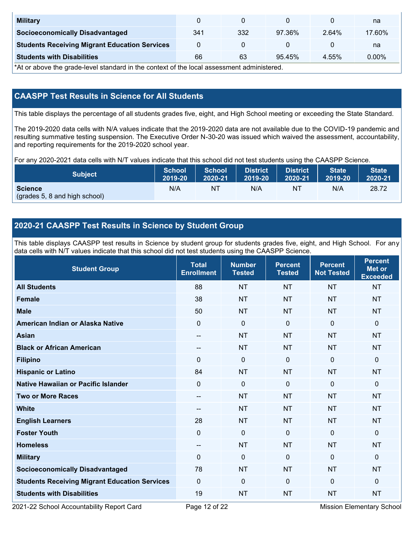| <b>Military</b>                                      |     |     |        |       | na     |
|------------------------------------------------------|-----|-----|--------|-------|--------|
| <b>Socioeconomically Disadvantaged</b>               | 341 | 332 | 97.36% | 2.64% | 17.60% |
| <b>Students Receiving Migrant Education Services</b> |     |     |        |       | na     |
| <b>Students with Disabilities</b>                    | 66  | 63  | 95.45% | 4.55% | 0.00%  |

\*At or above the grade-level standard in the context of the local assessment administered.

# **CAASPP Test Results in Science for All Students**

This table displays the percentage of all students grades five, eight, and High School meeting or exceeding the State Standard.

The 2019-2020 data cells with N/A values indicate that the 2019-2020 data are not available due to the COVID-19 pandemic and resulting summative testing suspension. The Executive Order N-30-20 was issued which waived the assessment, accountability, and reporting requirements for the 2019-2020 school year.

For any 2020-2021 data cells with N/T values indicate that this school did not test students using the CAASPP Science.

| <b>Subject</b>                                  | <b>School</b> | <b>School</b> | <b>District</b> | <b>District</b> | <b>State</b> | <b>State</b> |
|-------------------------------------------------|---------------|---------------|-----------------|-----------------|--------------|--------------|
|                                                 | 2019-20       | 2020-21       | 2019-20         | 2020-21         | 2019-20      | 2020-21      |
| <b>Science</b><br>(grades 5, 8 and high school) | N/A           | ΝT            | N/A             | ΝT              | N/A          | 28.72        |

# **2020-21 CAASPP Test Results in Science by Student Group**

This table displays CAASPP test results in Science by student group for students grades five, eight, and High School. For any data cells with N/T values indicate that this school did not test students using the CAASPP Science.

| <b>Student Group</b>                                 | <b>Total</b><br><b>Enrollment</b> | <b>Number</b><br><b>Tested</b> | <b>Percent</b><br><b>Tested</b> | <b>Percent</b><br><b>Not Tested</b> | <b>Percent</b><br><b>Met or</b><br><b>Exceeded</b> |
|------------------------------------------------------|-----------------------------------|--------------------------------|---------------------------------|-------------------------------------|----------------------------------------------------|
| <b>All Students</b>                                  | 88                                | <b>NT</b>                      | <b>NT</b>                       | <b>NT</b>                           | <b>NT</b>                                          |
| <b>Female</b>                                        | 38                                | <b>NT</b>                      | <b>NT</b>                       | <b>NT</b>                           | <b>NT</b>                                          |
| <b>Male</b>                                          | 50                                | <b>NT</b>                      | <b>NT</b>                       | <b>NT</b>                           | <b>NT</b>                                          |
| American Indian or Alaska Native                     | $\mathbf{0}$                      | $\mathbf 0$                    | $\mathbf 0$                     | $\overline{0}$                      | 0                                                  |
| <b>Asian</b>                                         | $-$                               | <b>NT</b>                      | <b>NT</b>                       | <b>NT</b>                           | <b>NT</b>                                          |
| <b>Black or African American</b>                     | $-$                               | <b>NT</b>                      | <b>NT</b>                       | <b>NT</b>                           | <b>NT</b>                                          |
| <b>Filipino</b>                                      | $\Omega$                          | $\mathbf 0$                    | $\mathbf{0}$                    | $\mathbf{0}$                        | 0                                                  |
| <b>Hispanic or Latino</b>                            | 84                                | <b>NT</b>                      | <b>NT</b>                       | <b>NT</b>                           | <b>NT</b>                                          |
| <b>Native Hawaiian or Pacific Islander</b>           | $\mathbf 0$                       | $\mathbf 0$                    | $\mathbf 0$                     | $\mathbf{0}$                        | 0                                                  |
| <b>Two or More Races</b>                             | $\qquad \qquad -$                 | <b>NT</b>                      | <b>NT</b>                       | <b>NT</b>                           | <b>NT</b>                                          |
| <b>White</b>                                         | --                                | <b>NT</b>                      | <b>NT</b>                       | <b>NT</b>                           | <b>NT</b>                                          |
| <b>English Learners</b>                              | 28                                | <b>NT</b>                      | <b>NT</b>                       | <b>NT</b>                           | <b>NT</b>                                          |
| <b>Foster Youth</b>                                  | $\mathbf 0$                       | $\mathbf 0$                    | $\mathbf 0$                     | $\mathbf 0$                         | 0                                                  |
| <b>Homeless</b>                                      | --                                | <b>NT</b>                      | <b>NT</b>                       | <b>NT</b>                           | <b>NT</b>                                          |
| <b>Military</b>                                      | $\Omega$                          | $\mathbf 0$                    | $\mathbf{0}$                    | $\Omega$                            | 0                                                  |
| <b>Socioeconomically Disadvantaged</b>               | 78                                | <b>NT</b>                      | <b>NT</b>                       | <b>NT</b>                           | <b>NT</b>                                          |
| <b>Students Receiving Migrant Education Services</b> | $\mathbf{0}$                      | $\mathbf 0$                    | $\mathbf 0$                     | $\mathbf{0}$                        | 0                                                  |
| <b>Students with Disabilities</b>                    | 19                                | <b>NT</b>                      | <b>NT</b>                       | <b>NT</b>                           | <b>NT</b>                                          |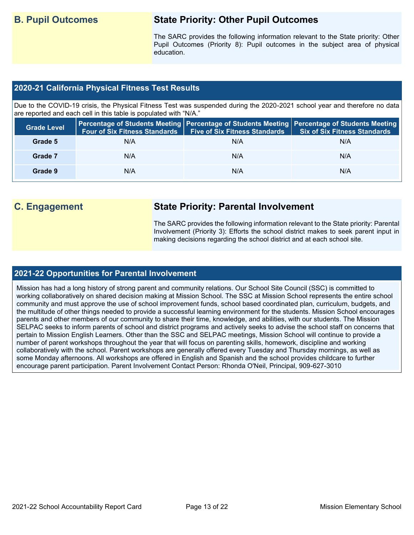# **B. Pupil Outcomes State Priority: Other Pupil Outcomes**

The SARC provides the following information relevant to the State priority: Other Pupil Outcomes (Priority 8): Pupil outcomes in the subject area of physical education.

### **2020-21 California Physical Fitness Test Results**

Due to the COVID-19 crisis, the Physical Fitness Test was suspended during the 2020-2021 school year and therefore no data are reported and each cell in this table is populated with "N/A."

| <b>Grade Level</b> | <b>Four of Six Fitness Standards</b> | <b>Five of Six Fitness Standards</b> | Percentage of Students Meeting   Percentage of Students Meeting   Percentage of Students Meeting  <br><b>Six of Six Fitness Standards</b> |
|--------------------|--------------------------------------|--------------------------------------|-------------------------------------------------------------------------------------------------------------------------------------------|
| Grade 5            | N/A                                  | N/A                                  | N/A                                                                                                                                       |
| Grade 7            | N/A                                  | N/A                                  | N/A                                                                                                                                       |
| Grade 9            | N/A                                  | N/A                                  | N/A                                                                                                                                       |

# **C. Engagement State Priority: Parental Involvement**

The SARC provides the following information relevant to the State priority: Parental Involvement (Priority 3): Efforts the school district makes to seek parent input in making decisions regarding the school district and at each school site.

### **2021-22 Opportunities for Parental Involvement**

Mission has had a long history of strong parent and community relations. Our School Site Council (SSC) is committed to working collaboratively on shared decision making at Mission School. The SSC at Mission School represents the entire school community and must approve the use of school improvement funds, school based coordinated plan, curriculum, budgets, and the multitude of other things needed to provide a successful learning environment for the students. Mission School encourages parents and other members of our community to share their time, knowledge, and abilities, with our students. The Mission SELPAC seeks to inform parents of school and district programs and actively seeks to advise the school staff on concerns that pertain to Mission English Learners. Other than the SSC and SELPAC meetings, Mission School will continue to provide a number of parent workshops throughout the year that will focus on parenting skills, homework, discipline and working collaboratively with the school. Parent workshops are generally offered every Tuesday and Thursday mornings, as well as some Monday afternoons. All workshops are offered in English and Spanish and the school provides childcare to further encourage parent participation. Parent Involvement Contact Person: Rhonda O'Neil, Principal, 909-627-3010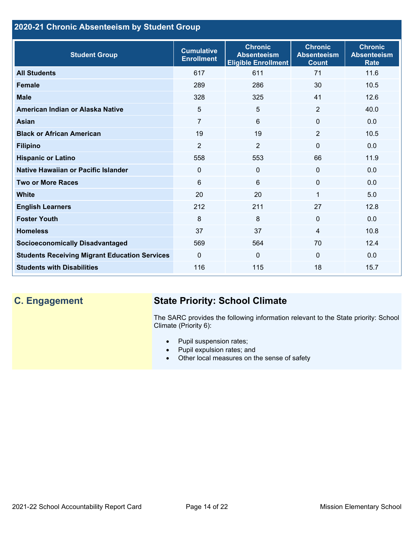# **2020-21 Chronic Absenteeism by Student Group**

| <b>Student Group</b>                                 | <b>Cumulative</b><br><b>Enrollment</b> | <b>Chronic</b><br><b>Absenteeism</b><br><b>Eligible Enrollment</b> | <b>Chronic</b><br><b>Absenteeism</b><br><b>Count</b> | <b>Chronic</b><br><b>Absenteeism</b><br><b>Rate</b> |
|------------------------------------------------------|----------------------------------------|--------------------------------------------------------------------|------------------------------------------------------|-----------------------------------------------------|
| <b>All Students</b>                                  | 617                                    | 611                                                                | 71                                                   | 11.6                                                |
| <b>Female</b>                                        | 289                                    | 286                                                                | 30                                                   | 10.5                                                |
| <b>Male</b>                                          | 328                                    | 325                                                                | 41                                                   | 12.6                                                |
| American Indian or Alaska Native                     | 5                                      | 5                                                                  | 2                                                    | 40.0                                                |
| Asian                                                | $\overline{7}$                         | 6                                                                  | $\mathbf{0}$                                         | 0.0                                                 |
| <b>Black or African American</b>                     | 19                                     | 19                                                                 | $\overline{2}$                                       | 10.5                                                |
| <b>Filipino</b>                                      | $\overline{2}$                         | $\overline{2}$                                                     | $\mathbf{0}$                                         | 0.0                                                 |
| <b>Hispanic or Latino</b>                            | 558                                    | 553                                                                | 66                                                   | 11.9                                                |
| Native Hawaiian or Pacific Islander                  | $\Omega$                               | 0                                                                  | $\mathbf{0}$                                         | 0.0                                                 |
| <b>Two or More Races</b>                             | 6                                      | 6                                                                  | $\mathbf 0$                                          | 0.0                                                 |
| <b>White</b>                                         | 20                                     | 20                                                                 | 1                                                    | 5.0                                                 |
| <b>English Learners</b>                              | 212                                    | 211                                                                | 27                                                   | 12.8                                                |
| <b>Foster Youth</b>                                  | 8                                      | 8                                                                  | $\mathbf{0}$                                         | 0.0                                                 |
| <b>Homeless</b>                                      | 37                                     | 37                                                                 | 4                                                    | 10.8                                                |
| <b>Socioeconomically Disadvantaged</b>               | 569                                    | 564                                                                | 70                                                   | 12.4                                                |
| <b>Students Receiving Migrant Education Services</b> | $\mathbf{0}$                           | $\mathbf 0$                                                        | $\mathbf{0}$                                         | 0.0                                                 |
| <b>Students with Disabilities</b>                    | 116                                    | 115                                                                | 18                                                   | 15.7                                                |

# **C. Engagement State Priority: School Climate**

The SARC provides the following information relevant to the State priority: School Climate (Priority 6):

- Pupil suspension rates;
- Pupil expulsion rates; and
- Other local measures on the sense of safety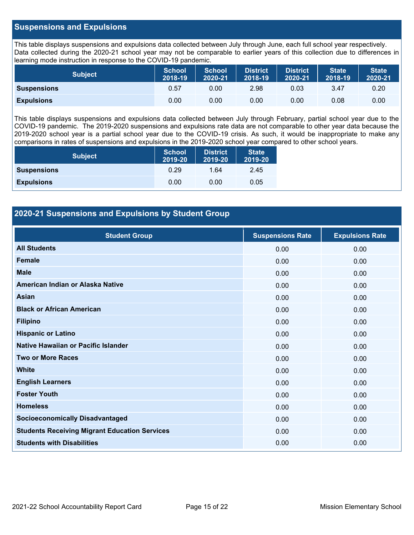### **Suspensions and Expulsions**

This table displays suspensions and expulsions data collected between July through June, each full school year respectively. Data collected during the 2020-21 school year may not be comparable to earlier years of this collection due to differences in learning mode instruction in response to the COVID-19 pandemic.

| <b>Subject</b>     | <b>School</b><br>2018-19 | <b>School</b><br>2020-21 | <b>District</b><br>2018-19 | <b>District</b><br>2020-21 | <b>State</b><br>2018-19 | <b>State</b><br>2020-21 |
|--------------------|--------------------------|--------------------------|----------------------------|----------------------------|-------------------------|-------------------------|
| <b>Suspensions</b> | 0.57                     | 0.00                     | 2.98                       | 0.03                       | 3.47                    | 0.20                    |
| <b>Expulsions</b>  | 0.00                     | 0.00                     | 0.00                       | 0.00                       | 0.08                    | 0.00                    |

This table displays suspensions and expulsions data collected between July through February, partial school year due to the COVID-19 pandemic. The 2019-2020 suspensions and expulsions rate data are not comparable to other year data because the 2019-2020 school year is a partial school year due to the COVID-19 crisis. As such, it would be inappropriate to make any comparisons in rates of suspensions and expulsions in the 2019-2020 school year compared to other school years.

| <b>Subject</b>     | <b>School</b><br>2019-20 | <b>District</b><br>2019-20 | <b>State</b><br>2019-20 |
|--------------------|--------------------------|----------------------------|-------------------------|
| <b>Suspensions</b> | 0.29                     | 1.64                       | 2.45                    |
| <b>Expulsions</b>  | 0.00                     | 0.00                       | 0.05                    |

### **2020-21 Suspensions and Expulsions by Student Group**

| <b>Student Group</b>                                 | <b>Suspensions Rate</b> | <b>Expulsions Rate</b> |
|------------------------------------------------------|-------------------------|------------------------|
| <b>All Students</b>                                  | 0.00                    | 0.00                   |
| <b>Female</b>                                        | 0.00                    | 0.00                   |
| <b>Male</b>                                          | 0.00                    | 0.00                   |
| American Indian or Alaska Native                     | 0.00                    | 0.00                   |
| <b>Asian</b>                                         | 0.00                    | 0.00                   |
| <b>Black or African American</b>                     | 0.00                    | 0.00                   |
| <b>Filipino</b>                                      | 0.00                    | 0.00                   |
| <b>Hispanic or Latino</b>                            | 0.00                    | 0.00                   |
| Native Hawaiian or Pacific Islander                  | 0.00                    | 0.00                   |
| <b>Two or More Races</b>                             | 0.00                    | 0.00                   |
| <b>White</b>                                         | 0.00                    | 0.00                   |
| <b>English Learners</b>                              | 0.00                    | 0.00                   |
| <b>Foster Youth</b>                                  | 0.00                    | 0.00                   |
| <b>Homeless</b>                                      | 0.00                    | 0.00                   |
| <b>Socioeconomically Disadvantaged</b>               | 0.00                    | 0.00                   |
| <b>Students Receiving Migrant Education Services</b> | 0.00                    | 0.00                   |
| <b>Students with Disabilities</b>                    | 0.00                    | 0.00                   |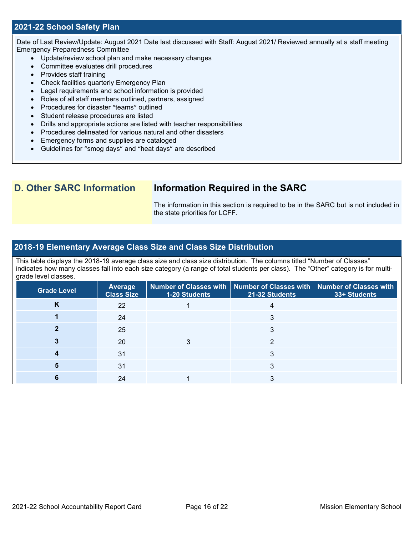### **2021-22 School Safety Plan**

Date of Last Review/Update: August 2021 Date last discussed with Staff: August 2021/ Reviewed annually at a staff meeting Emergency Preparedness Committee

- Update/review school plan and make necessary changes
- Committee evaluates drill procedures
- Provides staff training
- Check facilities quarterly Emergency Plan
- Legal requirements and school information is provided
- Roles of all staff members outlined, partners, assigned
- Procedures for disaster "teams" outlined
- Student release procedures are listed
- Drills and appropriate actions are listed with teacher responsibilities
- Procedures delineated for various natural and other disasters
- Emergency forms and supplies are cataloged
- Guidelines for "smog days" and "heat days" are described

## **D. Other SARC Information Information Required in the SARC**

The information in this section is required to be in the SARC but is not included in the state priorities for LCFF.

### **2018-19 Elementary Average Class Size and Class Size Distribution**

This table displays the 2018-19 average class size and class size distribution. The columns titled "Number of Classes" indicates how many classes fall into each size category (a range of total students per class). The "Other" category is for multigrade level classes.

| <b>Grade Level</b> | <b>Average</b><br><b>Class Size</b> | 1-20 Students | Number of Classes with   Number of Classes with   Number of Classes with<br>21-32 Students | 33+ Students |
|--------------------|-------------------------------------|---------------|--------------------------------------------------------------------------------------------|--------------|
| ĸ                  | 22                                  |               |                                                                                            |              |
|                    | 24                                  |               |                                                                                            |              |
|                    | 25                                  |               |                                                                                            |              |
|                    | 20                                  |               |                                                                                            |              |
|                    | 31                                  |               |                                                                                            |              |
|                    | 31                                  |               | 3                                                                                          |              |
|                    | 24                                  |               |                                                                                            |              |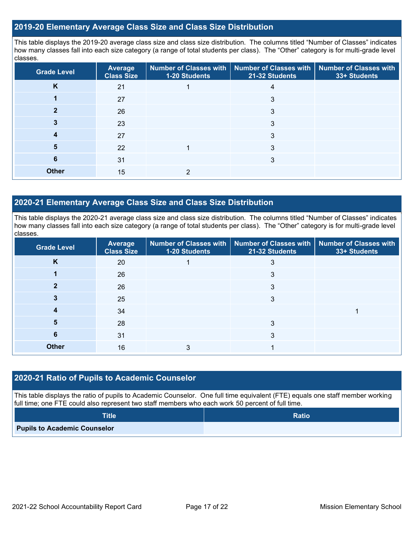### **2019-20 Elementary Average Class Size and Class Size Distribution**

This table displays the 2019-20 average class size and class size distribution. The columns titled "Number of Classes" indicates how many classes fall into each size category (a range of total students per class). The "Other" category is for multi-grade level classes.

| <b>Grade Level</b> | Average<br><b>Class Size</b> | Number of Classes with<br>1-20 Students | Number of Classes with<br>21-32 Students | <b>Number of Classes with</b><br>33+ Students |
|--------------------|------------------------------|-----------------------------------------|------------------------------------------|-----------------------------------------------|
| K                  | 21                           |                                         | 4                                        |                                               |
|                    | 27                           |                                         | 3                                        |                                               |
|                    | 26                           |                                         | 3                                        |                                               |
|                    | 23                           |                                         | 3                                        |                                               |
| 4                  | 27                           |                                         | 3                                        |                                               |
| 5                  | 22                           |                                         | 3                                        |                                               |
| 6                  | 31                           |                                         | 3                                        |                                               |
| <b>Other</b>       | 15                           |                                         |                                          |                                               |

### **2020-21 Elementary Average Class Size and Class Size Distribution**

This table displays the 2020-21 average class size and class size distribution. The columns titled "Number of Classes" indicates how many classes fall into each size category (a range of total students per class). The "Other" category is for multi-grade level classes.

| <b>Grade Level</b> | Average<br><b>Class Size</b> | Number of Classes with   Number of Classes with   Number of Classes with<br>21-32 Students<br>1-20 Students |   | 33+ Students |
|--------------------|------------------------------|-------------------------------------------------------------------------------------------------------------|---|--------------|
| K                  | 20                           |                                                                                                             | 3 |              |
|                    | 26                           |                                                                                                             | 3 |              |
|                    | 26                           |                                                                                                             | 3 |              |
|                    | 25                           |                                                                                                             | 3 |              |
|                    | 34                           |                                                                                                             |   |              |
| 5                  | 28                           |                                                                                                             | 3 |              |
| 6                  | 31                           |                                                                                                             | 3 |              |
| <b>Other</b>       | 16                           | 3                                                                                                           |   |              |

### **2020-21 Ratio of Pupils to Academic Counselor**

This table displays the ratio of pupils to Academic Counselor. One full time equivalent (FTE) equals one staff member working full time; one FTE could also represent two staff members who each work 50 percent of full time.

| <b>Title</b>                        | <b>Ratio</b> |
|-------------------------------------|--------------|
| <b>Pupils to Academic Counselor</b> |              |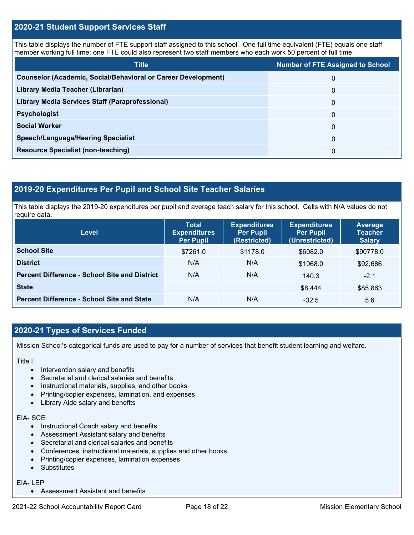### **2020-21 Student Support Services Staff**

This table displays the number of FTE support staff assigned to this school. One full time equivalent (FTE) equals one staff member working full time; one FTE could also represent two staff members who each work 50 percent of full time.

| <b>Title</b>                                                         | <b>Number of FTE Assigned to School</b> |
|----------------------------------------------------------------------|-----------------------------------------|
| <b>Counselor (Academic, Social/Behavioral or Career Development)</b> | 0                                       |
| Library Media Teacher (Librarian)                                    | $\Omega$                                |
| Library Media Services Staff (Paraprofessional)                      | 0                                       |
| <b>Psychologist</b>                                                  | 0                                       |
| <b>Social Worker</b>                                                 | $\Omega$                                |
| <b>Speech/Language/Hearing Specialist</b>                            | 0                                       |
| <b>Resource Specialist (non-teaching)</b>                            | 0                                       |

### **2019-20 Expenditures Per Pupil and School Site Teacher Salaries**

This table displays the 2019-20 expenditures per pupil and average teach salary for this school. Cells with N/A values do not require data.

| <b>Level</b>                                         | <b>Total</b><br><b>Expenditures</b><br><b>Per Pupil</b> | <b>Expenditures</b><br><b>Per Pupil</b><br>(Restricted) | <b>Expenditures</b><br><b>Per Pupil</b><br>(Unrestricted) | <b>Average</b><br><b>Teacher</b><br><b>Salary</b> |
|------------------------------------------------------|---------------------------------------------------------|---------------------------------------------------------|-----------------------------------------------------------|---------------------------------------------------|
| <b>School Site</b>                                   | \$7261.0                                                | \$1178.0                                                | \$6082.0                                                  | \$90778.0                                         |
| <b>District</b>                                      | N/A                                                     | N/A                                                     | \$1068.0                                                  | \$92,686                                          |
| <b>Percent Difference - School Site and District</b> | N/A                                                     | N/A                                                     | 140.3                                                     | $-2.1$                                            |
| <b>State</b>                                         |                                                         |                                                         | \$8,444                                                   | \$85,863                                          |
| <b>Percent Difference - School Site and State</b>    | N/A                                                     | N/A                                                     | $-32.5$                                                   | 5.6                                               |

### **2020-21 Types of Services Funded**

Mission School's categorical funds are used to pay for a number of services that benefit student learning and welfare.

Title I

- Intervention salary and benefits
- Secretarial and clerical salaries and benefits
- Instructional materials, supplies, and other books
- Printing/copier expenses, lamination, and expenses
- Library Aide salary and benefits

### EIA- SCE

- Instructional Coach salary and benefits
- Assessment Assistant salary and benefits
- Secretarial and clerical salaries and benefits
- Conferences, instructional materials, supplies and other books.
- Printing/copier expenses, lamination expenses
- Substitutes

### EIA- LEP

• Assessment Assistant and benefits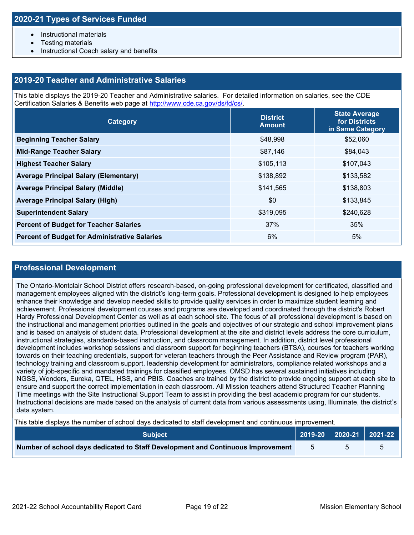- Instructional materials
- Testing materials
- Instructional Coach salary and benefits

### **2019-20 Teacher and Administrative Salaries**

This table displays the 2019-20 Teacher and Administrative salaries. For detailed information on salaries, see the CDE Certification Salaries & Benefits web page at [http://www.cde.ca.gov/ds/fd/cs/.](http://www.cde.ca.gov/ds/fd/cs/)

| Category                                             | <b>District</b><br><b>Amount</b> | <b>State Average</b><br>for Districts<br>in Same Category |
|------------------------------------------------------|----------------------------------|-----------------------------------------------------------|
| <b>Beginning Teacher Salary</b>                      | \$48,998                         | \$52,060                                                  |
| <b>Mid-Range Teacher Salary</b>                      | \$87,146                         | \$84,043                                                  |
| <b>Highest Teacher Salary</b>                        | \$105,113                        | \$107,043                                                 |
| <b>Average Principal Salary (Elementary)</b>         | \$138,892                        | \$133,582                                                 |
| <b>Average Principal Salary (Middle)</b>             | \$141,565                        | \$138,803                                                 |
| <b>Average Principal Salary (High)</b>               | \$0                              | \$133,845                                                 |
| <b>Superintendent Salary</b>                         | \$319,095                        | \$240,628                                                 |
| <b>Percent of Budget for Teacher Salaries</b>        | 37%                              | 35%                                                       |
| <b>Percent of Budget for Administrative Salaries</b> | 6%                               | 5%                                                        |

### **Professional Development**

The Ontario-Montclair School District offers research-based, on-going professional development for certificated, classified and management employees aligned with the district's long-term goals. Professional development is designed to help employees enhance their knowledge and develop needed skills to provide quality services in order to maximize student learning and achievement. Professional development courses and programs are developed and coordinated through the district's Robert Hardy Professional Development Center as well as at each school site. The focus of all professional development is based on the instructional and management priorities outlined in the goals and objectives of our strategic and school improvement plans and is based on analysis of student data. Professional development at the site and district levels address the core curriculum, instructional strategies, standards-based instruction, and classroom management. In addition, district level professional development includes workshop sessions and classroom support for beginning teachers (BTSA), courses for teachers working towards on their teaching credentials, support for veteran teachers through the Peer Assistance and Review program (PAR), technology training and classroom support, leadership development for administrators, compliance related workshops and a variety of job-specific and mandated trainings for classified employees. OMSD has several sustained initiatives including NGSS, Wonders, Eureka, QTEL, HSS, and PBIS. Coaches are trained by the district to provide ongoing support at each site to ensure and support the correct implementation in each classroom. All Mission teachers attend Structured Teacher Planning Time meetings with the Site Instructional Support Team to assist in providing the best academic program for our students. Instructional decisions are made based on the analysis of current data from various assessments using, Illuminate, the district's data system.

This table displays the number of school days dedicated to staff development and continuous improvement.

| <b>Subiect</b> '                                                                | 2019-20 2020-21 2021-22 |  |
|---------------------------------------------------------------------------------|-------------------------|--|
| Number of school days dedicated to Staff Development and Continuous Improvement |                         |  |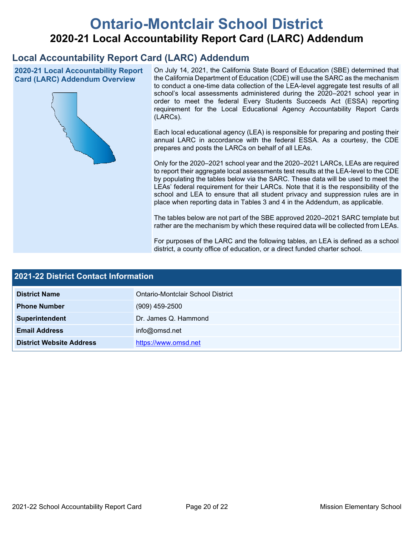# **Ontario-Montclair School District 2020-21 Local Accountability Report Card (LARC) Addendum**

# **Local Accountability Report Card (LARC) Addendum**

**2020-21 Local Accountability Report Card (LARC) Addendum Overview**



On July 14, 2021, the California State Board of Education (SBE) determined that the California Department of Education (CDE) will use the SARC as the mechanism to conduct a one-time data collection of the LEA-level aggregate test results of all school's local assessments administered during the 2020–2021 school year in order to meet the federal Every Students Succeeds Act (ESSA) reporting requirement for the Local Educational Agency Accountability Report Cards (LARCs).

Each local educational agency (LEA) is responsible for preparing and posting their annual LARC in accordance with the federal ESSA. As a courtesy, the CDE prepares and posts the LARCs on behalf of all LEAs.

Only for the 2020–2021 school year and the 2020–2021 LARCs, LEAs are required to report their aggregate local assessments test results at the LEA-level to the CDE by populating the tables below via the SARC. These data will be used to meet the LEAs' federal requirement for their LARCs. Note that it is the responsibility of the school and LEA to ensure that all student privacy and suppression rules are in place when reporting data in Tables 3 and 4 in the Addendum, as applicable.

The tables below are not part of the SBE approved 2020–2021 SARC template but rather are the mechanism by which these required data will be collected from LEAs.

For purposes of the LARC and the following tables, an LEA is defined as a school district, a county office of education, or a direct funded charter school.

| 2021-22 District Contact Information |                                   |  |  |  |
|--------------------------------------|-----------------------------------|--|--|--|
| <b>District Name</b>                 | Ontario-Montclair School District |  |  |  |
| <b>Phone Number</b>                  | $(909)$ 459-2500                  |  |  |  |
| Superintendent                       | Dr. James Q. Hammond              |  |  |  |
| <b>Email Address</b>                 | info@omsd.net                     |  |  |  |
| <b>District Website Address</b>      | https://www.omsd.net              |  |  |  |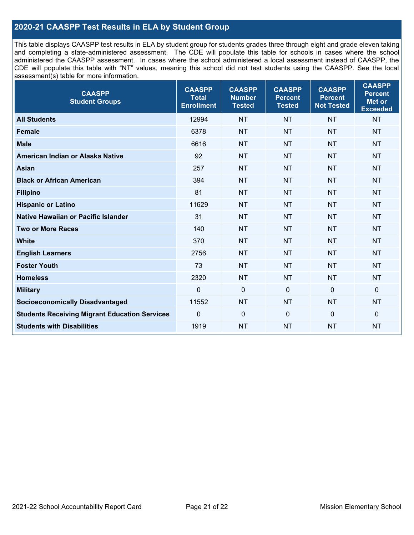## **2020-21 CAASPP Test Results in ELA by Student Group**

This table displays CAASPP test results in ELA by student group for students grades three through eight and grade eleven taking and completing a state-administered assessment. The CDE will populate this table for schools in cases where the school administered the CAASPP assessment. In cases where the school administered a local assessment instead of CAASPP, the CDE will populate this table with "NT" values, meaning this school did not test students using the CAASPP. See the local assessment(s) table for more information.

| <b>CAASPP</b><br><b>Student Groups</b>               | <b>CAASPP</b><br><b>Total</b><br><b>Enrollment</b> | <b>CAASPP</b><br><b>Number</b><br><b>Tested</b> | <b>CAASPP</b><br><b>Percent</b><br><b>Tested</b> | <b>CAASPP</b><br><b>Percent</b><br><b>Not Tested</b> | <b>CAASPP</b><br><b>Percent</b><br>Met or<br><b>Exceeded</b> |
|------------------------------------------------------|----------------------------------------------------|-------------------------------------------------|--------------------------------------------------|------------------------------------------------------|--------------------------------------------------------------|
| <b>All Students</b>                                  | 12994                                              | <b>NT</b>                                       | <b>NT</b>                                        | <b>NT</b>                                            | <b>NT</b>                                                    |
| <b>Female</b>                                        | 6378                                               | <b>NT</b>                                       | <b>NT</b>                                        | <b>NT</b>                                            | <b>NT</b>                                                    |
| <b>Male</b>                                          | 6616                                               | <b>NT</b>                                       | <b>NT</b>                                        | <b>NT</b>                                            | <b>NT</b>                                                    |
| American Indian or Alaska Native                     | 92                                                 | <b>NT</b>                                       | <b>NT</b>                                        | <b>NT</b>                                            | <b>NT</b>                                                    |
| <b>Asian</b>                                         | 257                                                | <b>NT</b>                                       | <b>NT</b>                                        | <b>NT</b>                                            | <b>NT</b>                                                    |
| <b>Black or African American</b>                     | 394                                                | <b>NT</b>                                       | <b>NT</b>                                        | <b>NT</b>                                            | NT                                                           |
| <b>Filipino</b>                                      | 81                                                 | <b>NT</b>                                       | <b>NT</b>                                        | <b>NT</b>                                            | <b>NT</b>                                                    |
| <b>Hispanic or Latino</b>                            | 11629                                              | <b>NT</b>                                       | <b>NT</b>                                        | <b>NT</b>                                            | <b>NT</b>                                                    |
| <b>Native Hawaiian or Pacific Islander</b>           | 31                                                 | <b>NT</b>                                       | <b>NT</b>                                        | <b>NT</b>                                            | <b>NT</b>                                                    |
| <b>Two or More Races</b>                             | 140                                                | <b>NT</b>                                       | <b>NT</b>                                        | <b>NT</b>                                            | <b>NT</b>                                                    |
| <b>White</b>                                         | 370                                                | <b>NT</b>                                       | <b>NT</b>                                        | <b>NT</b>                                            | <b>NT</b>                                                    |
| <b>English Learners</b>                              | 2756                                               | <b>NT</b>                                       | <b>NT</b>                                        | <b>NT</b>                                            | <b>NT</b>                                                    |
| <b>Foster Youth</b>                                  | 73                                                 | <b>NT</b>                                       | <b>NT</b>                                        | <b>NT</b>                                            | <b>NT</b>                                                    |
| <b>Homeless</b>                                      | 2320                                               | <b>NT</b>                                       | <b>NT</b>                                        | <b>NT</b>                                            | <b>NT</b>                                                    |
| <b>Military</b>                                      | $\mathbf 0$                                        | $\mathbf 0$                                     | $\mathbf 0$                                      | $\mathbf 0$                                          | 0                                                            |
| <b>Socioeconomically Disadvantaged</b>               | 11552                                              | <b>NT</b>                                       | <b>NT</b>                                        | <b>NT</b>                                            | <b>NT</b>                                                    |
| <b>Students Receiving Migrant Education Services</b> | $\Omega$                                           | $\mathbf 0$                                     | $\mathbf{0}$                                     | $\Omega$                                             | 0                                                            |
| <b>Students with Disabilities</b>                    | 1919                                               | <b>NT</b>                                       | <b>NT</b>                                        | <b>NT</b>                                            | <b>NT</b>                                                    |